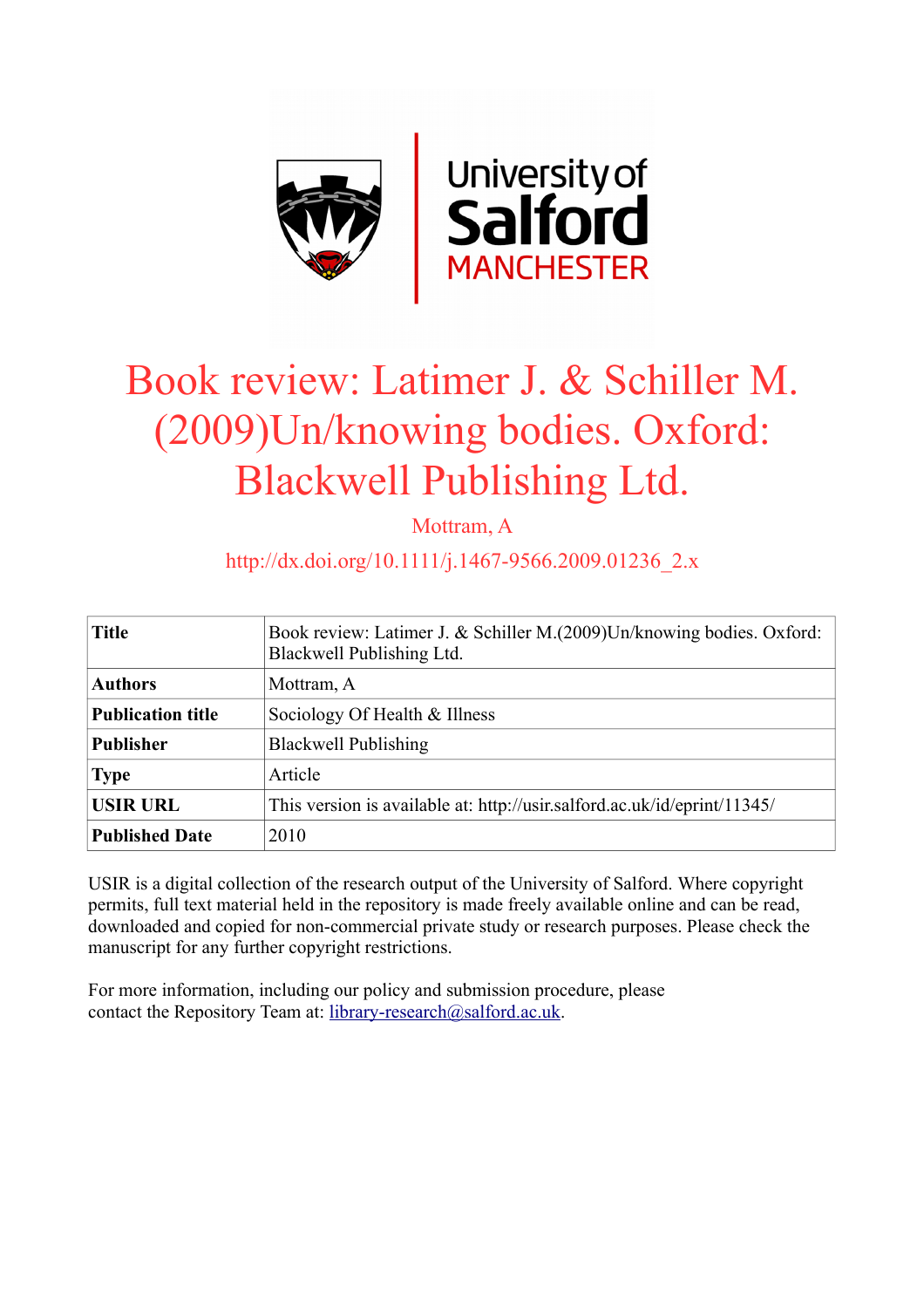

## Book review: Latimer J. & Schiller M. (2009)Un/knowing bodies. Oxford: Blackwell Publishing Ltd.

Mottram, A

## http://dx.doi.org/10.1111/j.1467-9566.2009.01236\_2.x

| <b>Title</b>             | Book review: Latimer J. & Schiller M.(2009)Un/knowing bodies. Oxford:<br>Blackwell Publishing Ltd. |
|--------------------------|----------------------------------------------------------------------------------------------------|
| <b>Authors</b>           | Mottram, A                                                                                         |
| <b>Publication title</b> | Sociology Of Health & Illness                                                                      |
| <b>Publisher</b>         | <b>Blackwell Publishing</b>                                                                        |
| <b>Type</b>              | Article                                                                                            |
| <b>USIR URL</b>          | This version is available at: http://usir.salford.ac.uk/id/eprint/11345/                           |
| <b>Published Date</b>    | 2010                                                                                               |

USIR is a digital collection of the research output of the University of Salford. Where copyright permits, full text material held in the repository is made freely available online and can be read, downloaded and copied for non-commercial private study or research purposes. Please check the manuscript for any further copyright restrictions.

For more information, including our policy and submission procedure, please contact the Repository Team at: [library-research@salford.ac.uk.](mailto:library-research@salford.ac.uk)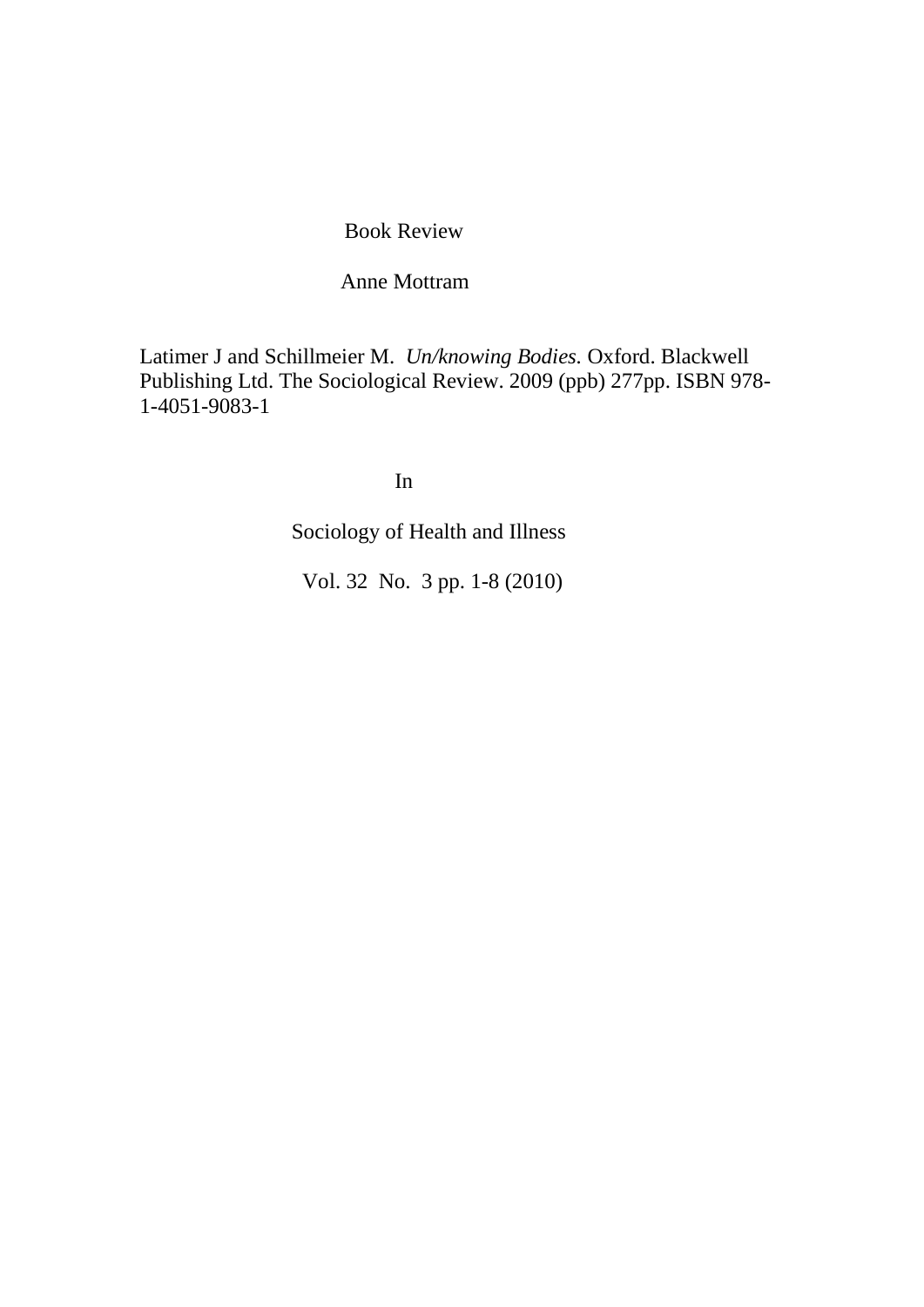Book Review

Anne Mottram

Latimer J and Schillmeier M. *Un/knowing Bodies.* Oxford. Blackwell Publishing Ltd. The Sociological Review. 2009 (ppb) 277pp. ISBN 978- 1-4051-9083-1

**In** 

Sociology of Health and Illness

Vol. 32 No. 3 pp. 1-8 (2010)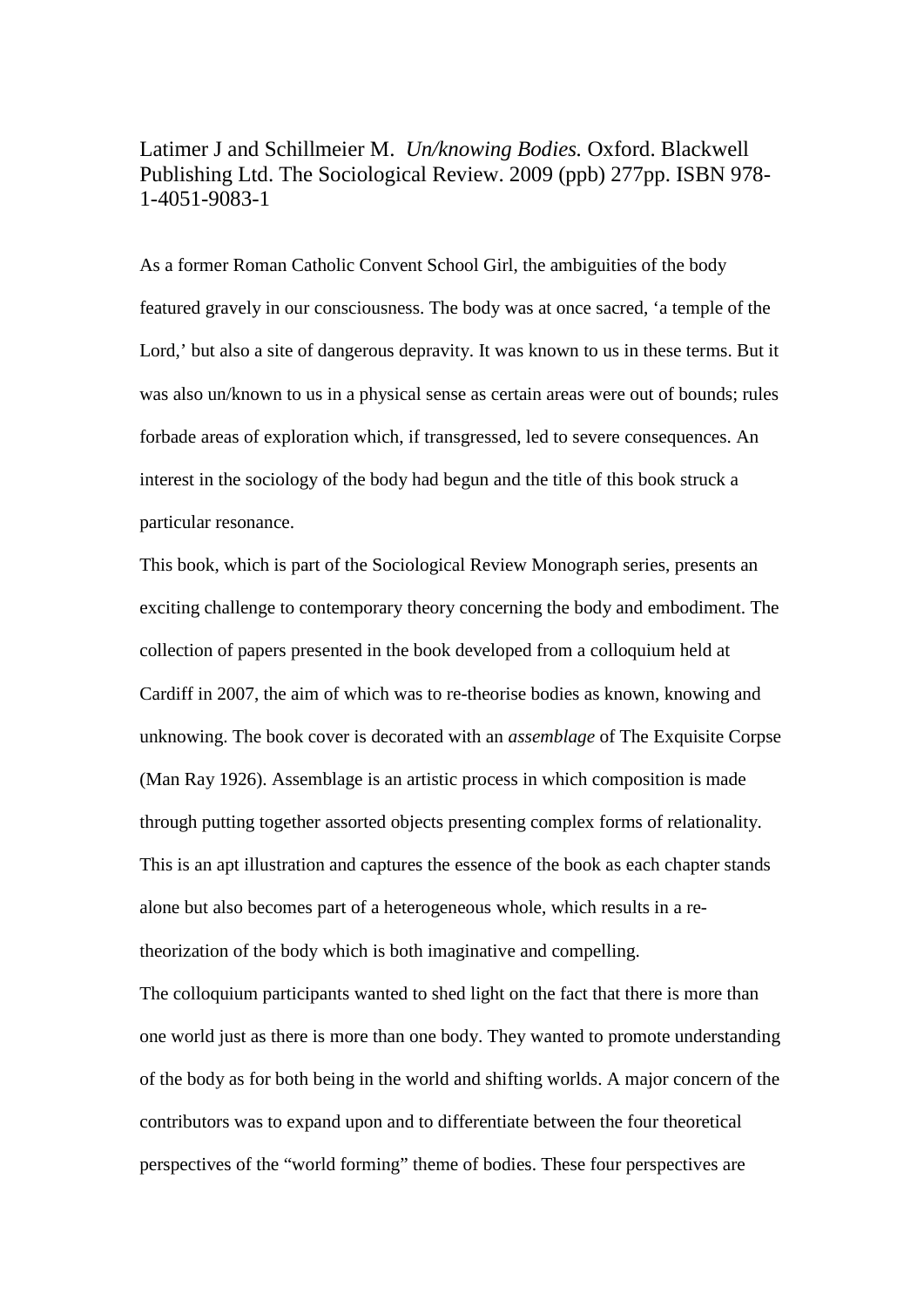## Latimer J and Schillmeier M. *Un/knowing Bodies.* Oxford. Blackwell Publishing Ltd. The Sociological Review. 2009 (ppb) 277pp. ISBN 978- 1-4051-9083-1

As a former Roman Catholic Convent School Girl, the ambiguities of the body featured gravely in our consciousness. The body was at once sacred, 'a temple of the Lord,' but also a site of dangerous depravity. It was known to us in these terms. But it was also un/known to us in a physical sense as certain areas were out of bounds; rules forbade areas of exploration which, if transgressed, led to severe consequences. An interest in the sociology of the body had begun and the title of this book struck a particular resonance.

This book, which is part of the Sociological Review Monograph series, presents an exciting challenge to contemporary theory concerning the body and embodiment. The collection of papers presented in the book developed from a colloquium held at Cardiff in 2007, the aim of which was to re-theorise bodies as known, knowing and unknowing. The book cover is decorated with an *assemblage* of The Exquisite Corpse (Man Ray 1926). Assemblage is an artistic process in which composition is made through putting together assorted objects presenting complex forms of relationality. This is an apt illustration and captures the essence of the book as each chapter stands alone but also becomes part of a heterogeneous whole, which results in a retheorization of the body which is both imaginative and compelling.

The colloquium participants wanted to shed light on the fact that there is more than one world just as there is more than one body. They wanted to promote understanding of the body as for both being in the world and shifting worlds. A major concern of the contributors was to expand upon and to differentiate between the four theoretical perspectives of the "world forming" theme of bodies. These four perspectives are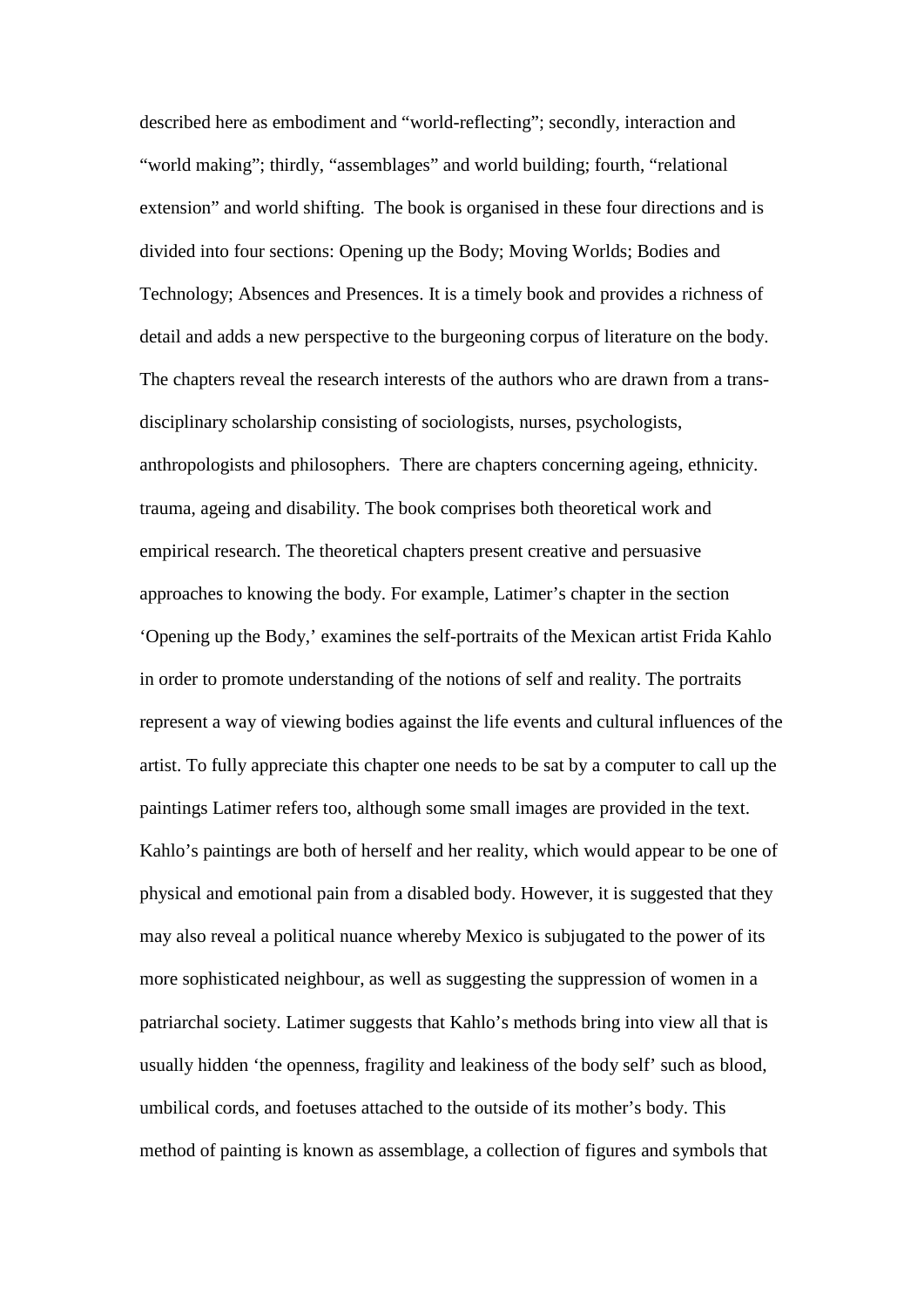described here as embodiment and "world-reflecting"; secondly, interaction and "world making"; thirdly, "assemblages" and world building; fourth, "relational extension" and world shifting. The book is organised in these four directions and is divided into four sections: Opening up the Body; Moving Worlds; Bodies and Technology; Absences and Presences. It is a timely book and provides a richness of detail and adds a new perspective to the burgeoning corpus of literature on the body. The chapters reveal the research interests of the authors who are drawn from a transdisciplinary scholarship consisting of sociologists, nurses, psychologists, anthropologists and philosophers. There are chapters concerning ageing, ethnicity. trauma, ageing and disability. The book comprises both theoretical work and empirical research. The theoretical chapters present creative and persuasive approaches to knowing the body. For example, Latimer's chapter in the section 'Opening up the Body,' examines the self-portraits of the Mexican artist Frida Kahlo in order to promote understanding of the notions of self and reality. The portraits represent a way of viewing bodies against the life events and cultural influences of the artist. To fully appreciate this chapter one needs to be sat by a computer to call up the paintings Latimer refers too, although some small images are provided in the text. Kahlo's paintings are both of herself and her reality, which would appear to be one of physical and emotional pain from a disabled body. However, it is suggested that they may also reveal a political nuance whereby Mexico is subjugated to the power of its more sophisticated neighbour, as well as suggesting the suppression of women in a patriarchal society. Latimer suggests that Kahlo's methods bring into view all that is usually hidden 'the openness, fragility and leakiness of the body self' such as blood, umbilical cords, and foetuses attached to the outside of its mother's body. This method of painting is known as assemblage, a collection of figures and symbols that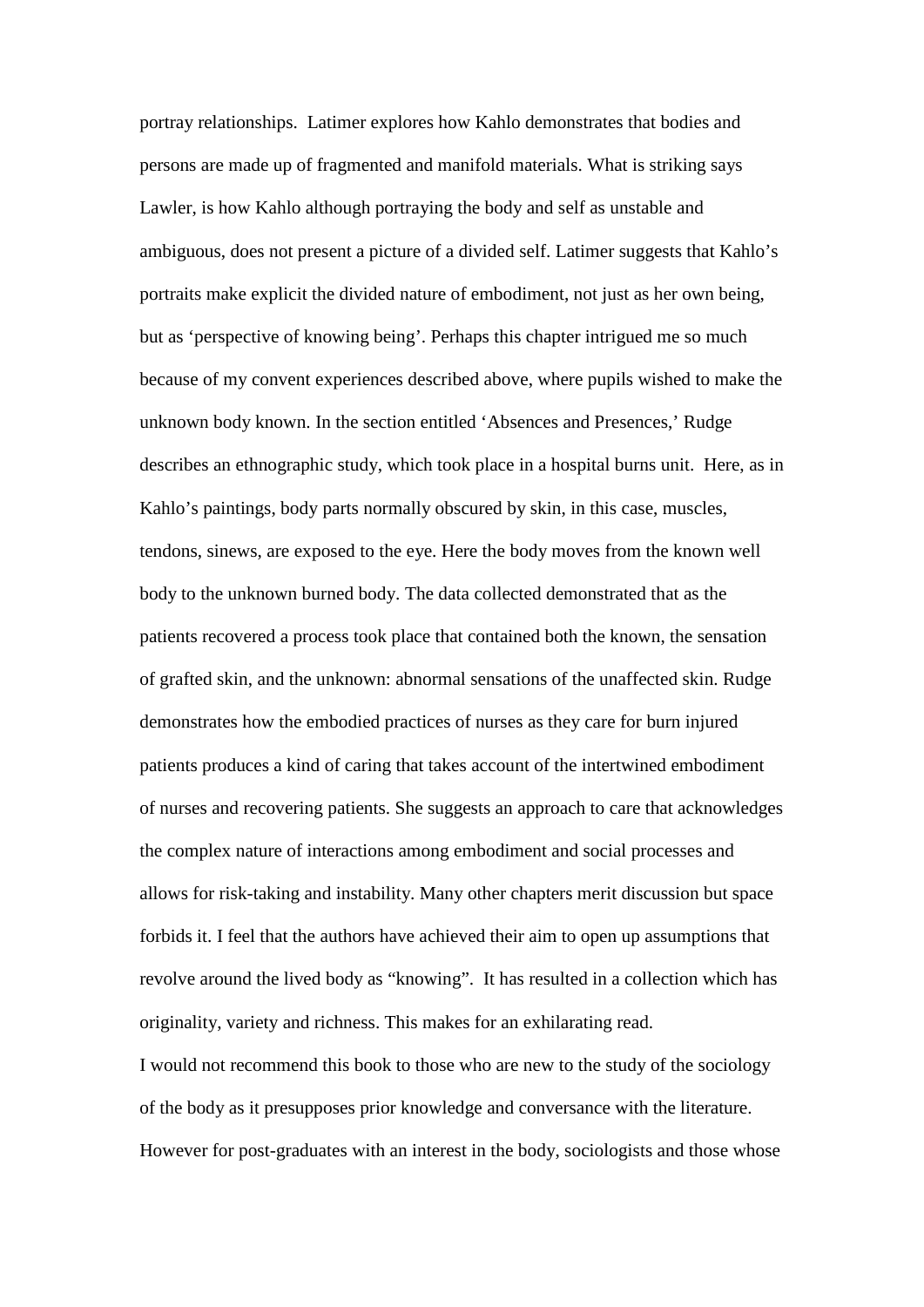portray relationships. Latimer explores how Kahlo demonstrates that bodies and persons are made up of fragmented and manifold materials. What is striking says Lawler, is how Kahlo although portraying the body and self as unstable and ambiguous, does not present a picture of a divided self. Latimer suggests that Kahlo's portraits make explicit the divided nature of embodiment, not just as her own being, but as 'perspective of knowing being'. Perhaps this chapter intrigued me so much because of my convent experiences described above, where pupils wished to make the unknown body known. In the section entitled 'Absences and Presences,' Rudge describes an ethnographic study, which took place in a hospital burns unit. Here, as in Kahlo's paintings, body parts normally obscured by skin, in this case, muscles, tendons, sinews, are exposed to the eye. Here the body moves from the known well body to the unknown burned body. The data collected demonstrated that as the patients recovered a process took place that contained both the known, the sensation of grafted skin, and the unknown: abnormal sensations of the unaffected skin. Rudge demonstrates how the embodied practices of nurses as they care for burn injured patients produces a kind of caring that takes account of the intertwined embodiment of nurses and recovering patients. She suggests an approach to care that acknowledges the complex nature of interactions among embodiment and social processes and allows for risk-taking and instability. Many other chapters merit discussion but space forbids it. I feel that the authors have achieved their aim to open up assumptions that revolve around the lived body as "knowing". It has resulted in a collection which has originality, variety and richness. This makes for an exhilarating read. I would not recommend this book to those who are new to the study of the sociology

of the body as it presupposes prior knowledge and conversance with the literature. However for post-graduates with an interest in the body, sociologists and those whose